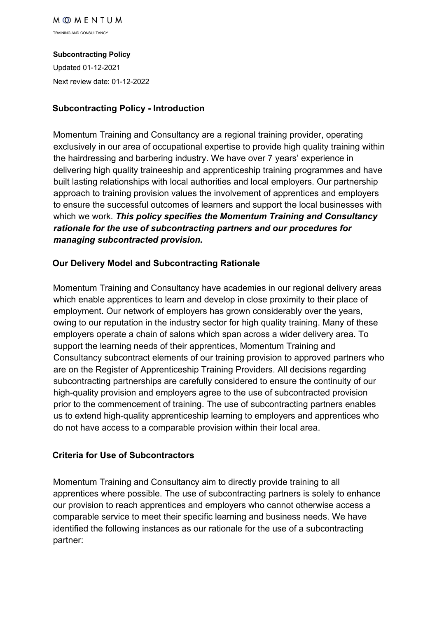TRAINING AND CONSULTANCY

#### **Subcontracting Policy**

Updated 01-12-2021 Next review date: 01-12-2022

## **Subcontracting Policy - Introduction**

Momentum Training and Consultancy are a regional training provider, operating exclusively in our area of occupational expertise to provide high quality training within the hairdressing and barbering industry. We have over 7 years' experience in delivering high quality traineeship and apprenticeship training programmes and have built lasting relationships with local authorities and local employers. Our partnership approach to training provision values the involvement of apprentices and employers to ensure the successful outcomes of learners and support the local businesses with which we work. *This policy specifies the Momentum Training and Consultancy rationale for the use of subcontracting partners and our procedures for managing subcontracted provision.*

## **Our Delivery Model and Subcontracting Rationale**

Momentum Training and Consultancy have academies in our regional delivery areas which enable apprentices to learn and develop in close proximity to their place of employment. Our network of employers has grown considerably over the years, owing to our reputation in the industry sector for high quality training. Many of these employers operate a chain of salons which span across a wider delivery area. To support the learning needs of their apprentices, Momentum Training and Consultancy subcontract elements of our training provision to approved partners who are on the Register of Apprenticeship Training Providers. All decisions regarding subcontracting partnerships are carefully considered to ensure the continuity of our high-quality provision and employers agree to the use of subcontracted provision prior to the commencement of training. The use of subcontracting partners enables us to extend high-quality apprenticeship learning to employers and apprentices who do not have access to a comparable provision within their local area.

## **Criteria for Use of Subcontractors**

Momentum Training and Consultancy aim to directly provide training to all apprentices where possible. The use of subcontracting partners is solely to enhance our provision to reach apprentices and employers who cannot otherwise access a comparable service to meet their specific learning and business needs. We have identified the following instances as our rationale for the use of a subcontracting partner: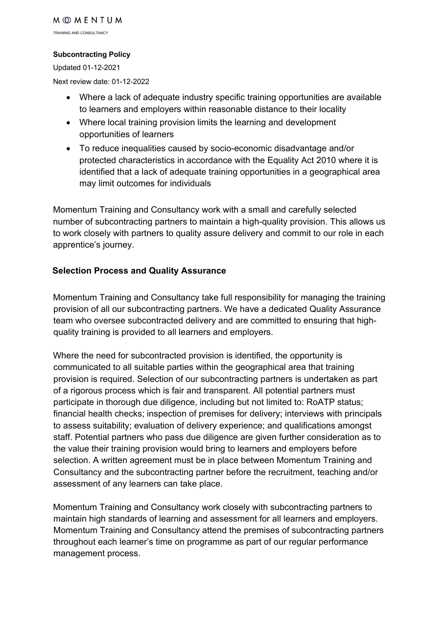TRAINING AND CONSULTANCY

#### **Subcontracting Policy**

Updated 01-12-2021

Next review date: 01-12-2022

- Where a lack of adequate industry specific training opportunities are available to learners and employers within reasonable distance to their locality
- Where local training provision limits the learning and development opportunities of learners
- To reduce inequalities caused by socio-economic disadvantage and/or protected characteristics in accordance with the Equality Act 2010 where it is identified that a lack of adequate training opportunities in a geographical area may limit outcomes for individuals

Momentum Training and Consultancy work with a small and carefully selected number of subcontracting partners to maintain a high-quality provision. This allows us to work closely with partners to quality assure delivery and commit to our role in each apprentice's journey.

#### **Selection Process and Quality Assurance**

Momentum Training and Consultancy take full responsibility for managing the training provision of all our subcontracting partners. We have a dedicated Quality Assurance team who oversee subcontracted delivery and are committed to ensuring that highquality training is provided to all learners and employers.

Where the need for subcontracted provision is identified, the opportunity is communicated to all suitable parties within the geographical area that training provision is required. Selection of our subcontracting partners is undertaken as part of a rigorous process which is fair and transparent. All potential partners must participate in thorough due diligence, including but not limited to: RoATP status; financial health checks; inspection of premises for delivery; interviews with principals to assess suitability; evaluation of delivery experience; and qualifications amongst staff. Potential partners who pass due diligence are given further consideration as to the value their training provision would bring to learners and employers before selection. A written agreement must be in place between Momentum Training and Consultancy and the subcontracting partner before the recruitment, teaching and/or assessment of any learners can take place.

Momentum Training and Consultancy work closely with subcontracting partners to maintain high standards of learning and assessment for all learners and employers. Momentum Training and Consultancy attend the premises of subcontracting partners throughout each learner's time on programme as part of our regular performance management process.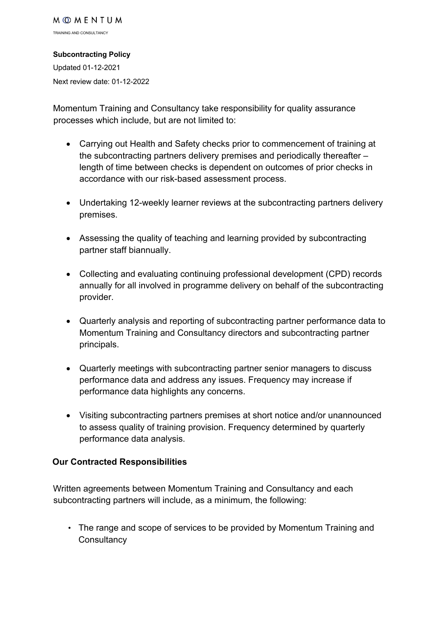#### **Subcontracting Policy**

Updated 01-12-2021 Next review date: 01-12-2022

Momentum Training and Consultancy take responsibility for quality assurance processes which include, but are not limited to:

- Carrying out Health and Safety checks prior to commencement of training at the subcontracting partners delivery premises and periodically thereafter – length of time between checks is dependent on outcomes of prior checks in accordance with our risk-based assessment process.
- Undertaking 12-weekly learner reviews at the subcontracting partners delivery premises.
- Assessing the quality of teaching and learning provided by subcontracting partner staff biannually.
- Collecting and evaluating continuing professional development (CPD) records annually for all involved in programme delivery on behalf of the subcontracting provider.
- Quarterly analysis and reporting of subcontracting partner performance data to Momentum Training and Consultancy directors and subcontracting partner principals.
- Quarterly meetings with subcontracting partner senior managers to discuss performance data and address any issues. Frequency may increase if performance data highlights any concerns.
- Visiting subcontracting partners premises at short notice and/or unannounced to assess quality of training provision. Frequency determined by quarterly performance data analysis.

## **Our Contracted Responsibilities**

Written agreements between Momentum Training and Consultancy and each subcontracting partners will include, as a minimum, the following:

• The range and scope of services to be provided by Momentum Training and **Consultancy**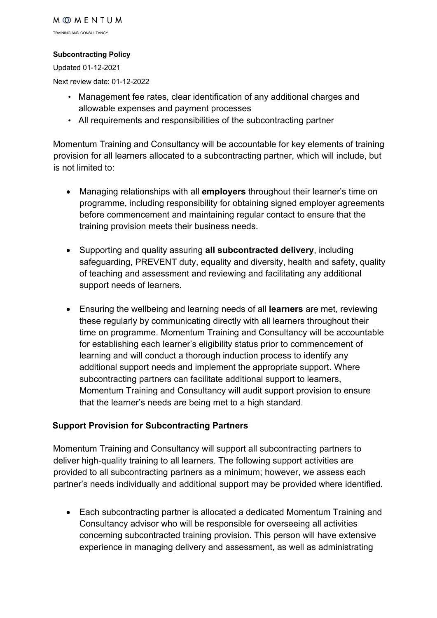TRAINING AND CONSULTANCY

#### **Subcontracting Policy**

Updated 01-12-2021

Next review date: 01-12-2022

- Management fee rates, clear identification of any additional charges and allowable expenses and payment processes
- All requirements and responsibilities of the subcontracting partner

Momentum Training and Consultancy will be accountable for key elements of training provision for all learners allocated to a subcontracting partner, which will include, but is not limited to:

- Managing relationships with all **employers** throughout their learner's time on programme, including responsibility for obtaining signed employer agreements before commencement and maintaining regular contact to ensure that the training provision meets their business needs.
- Supporting and quality assuring **all subcontracted delivery**, including safeguarding, PREVENT duty, equality and diversity, health and safety, quality of teaching and assessment and reviewing and facilitating any additional support needs of learners.
- Ensuring the wellbeing and learning needs of all **learners** are met, reviewing these regularly by communicating directly with all learners throughout their time on programme. Momentum Training and Consultancy will be accountable for establishing each learner's eligibility status prior to commencement of learning and will conduct a thorough induction process to identify any additional support needs and implement the appropriate support. Where subcontracting partners can facilitate additional support to learners, Momentum Training and Consultancy will audit support provision to ensure that the learner's needs are being met to a high standard.

## **Support Provision for Subcontracting Partners**

Momentum Training and Consultancy will support all subcontracting partners to deliver high-quality training to all learners. The following support activities are provided to all subcontracting partners as a minimum; however, we assess each partner's needs individually and additional support may be provided where identified.

• Each subcontracting partner is allocated a dedicated Momentum Training and Consultancy advisor who will be responsible for overseeing all activities concerning subcontracted training provision. This person will have extensive experience in managing delivery and assessment, as well as administrating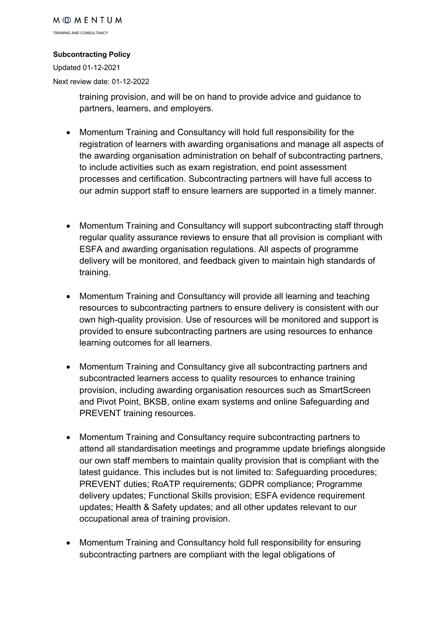TRAINING AND CONSULTANCY

#### **Subcontracting Policy**

Updated 01-12-2021 Next review date: 01-12-2022

> training provision, and will be on hand to provide advice and guidance to partners, learners, and employers.

- Momentum Training and Consultancy will hold full responsibility for the registration of learners with awarding organisations and manage all aspects of the awarding organisation administration on behalf of subcontracting partners, to include activities such as exam registration, end point assessment processes and certification. Subcontracting partners will have full access to our admin support staff to ensure learners are supported in a timely manner.
- Momentum Training and Consultancy will support subcontracting staff through regular quality assurance reviews to ensure that all provision is compliant with ESFA and awarding organisation regulations. All aspects of programme delivery will be monitored, and feedback given to maintain high standards of training.
- Momentum Training and Consultancy will provide all learning and teaching resources to subcontracting partners to ensure delivery is consistent with our own high-quality provision. Use of resources will be monitored and support is provided to ensure subcontracting partners are using resources to enhance learning outcomes for all learners.
- Momentum Training and Consultancy give all subcontracting partners and subcontracted learners access to quality resources to enhance training provision, including awarding organisation resources such as SmartScreen and Pivot Point, BKSB, online exam systems and online Safeguarding and PREVENT training resources.
- Momentum Training and Consultancy require subcontracting partners to attend all standardisation meetings and programme update briefings alongside our own staff members to maintain quality provision that is compliant with the latest guidance. This includes but is not limited to: Safeguarding procedures; PREVENT duties; RoATP requirements; GDPR compliance; Programme delivery updates; Functional Skills provision; ESFA evidence requirement updates; Health & Safety updates; and all other updates relevant to our occupational area of training provision.
- Momentum Training and Consultancy hold full responsibility for ensuring subcontracting partners are compliant with the legal obligations of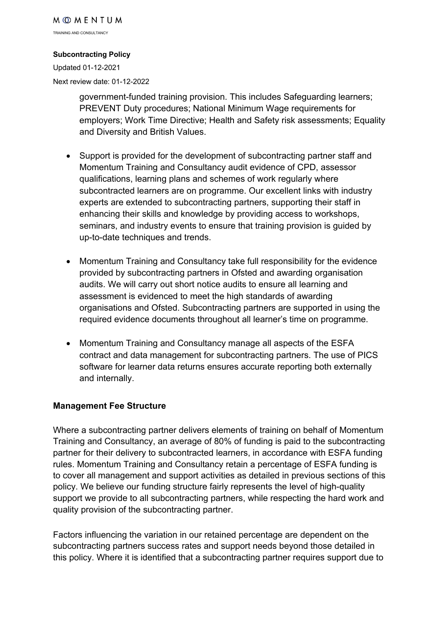TRAINING AND CONSULTANCY

#### **Subcontracting Policy**

Updated 01-12-2021 Next review date: 01-12-2022

> government-funded training provision. This includes Safeguarding learners; PREVENT Duty procedures; National Minimum Wage requirements for employers; Work Time Directive; Health and Safety risk assessments; Equality and Diversity and British Values.

- Support is provided for the development of subcontracting partner staff and Momentum Training and Consultancy audit evidence of CPD, assessor qualifications, learning plans and schemes of work regularly where subcontracted learners are on programme. Our excellent links with industry experts are extended to subcontracting partners, supporting their staff in enhancing their skills and knowledge by providing access to workshops, seminars, and industry events to ensure that training provision is guided by up-to-date techniques and trends.
- Momentum Training and Consultancy take full responsibility for the evidence provided by subcontracting partners in Ofsted and awarding organisation audits. We will carry out short notice audits to ensure all learning and assessment is evidenced to meet the high standards of awarding organisations and Ofsted. Subcontracting partners are supported in using the required evidence documents throughout all learner's time on programme.
- Momentum Training and Consultancy manage all aspects of the ESFA contract and data management for subcontracting partners. The use of PICS software for learner data returns ensures accurate reporting both externally and internally.

#### **Management Fee Structure**

Where a subcontracting partner delivers elements of training on behalf of Momentum Training and Consultancy, an average of 80% of funding is paid to the subcontracting partner for their delivery to subcontracted learners, in accordance with ESFA funding rules. Momentum Training and Consultancy retain a percentage of ESFA funding is to cover all management and support activities as detailed in previous sections of this policy. We believe our funding structure fairly represents the level of high-quality support we provide to all subcontracting partners, while respecting the hard work and quality provision of the subcontracting partner.

Factors influencing the variation in our retained percentage are dependent on the subcontracting partners success rates and support needs beyond those detailed in this policy. Where it is identified that a subcontracting partner requires support due to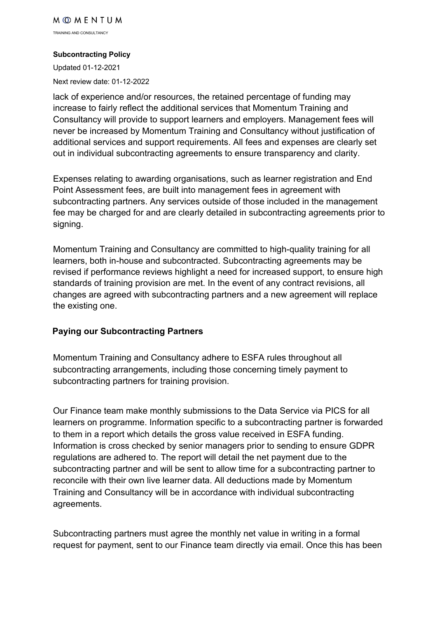TRAINING AND CONSULTANCY

#### **Subcontracting Policy**

Updated 01-12-2021 Next review date: 01-12-2022

lack of experience and/or resources, the retained percentage of funding may increase to fairly reflect the additional services that Momentum Training and Consultancy will provide to support learners and employers. Management fees will never be increased by Momentum Training and Consultancy without justification of additional services and support requirements. All fees and expenses are clearly set out in individual subcontracting agreements to ensure transparency and clarity.

Expenses relating to awarding organisations, such as learner registration and End Point Assessment fees, are built into management fees in agreement with subcontracting partners. Any services outside of those included in the management fee may be charged for and are clearly detailed in subcontracting agreements prior to signing.

Momentum Training and Consultancy are committed to high-quality training for all learners, both in-house and subcontracted. Subcontracting agreements may be revised if performance reviews highlight a need for increased support, to ensure high standards of training provision are met. In the event of any contract revisions, all changes are agreed with subcontracting partners and a new agreement will replace the existing one.

## **Paying our Subcontracting Partners**

Momentum Training and Consultancy adhere to ESFA rules throughout all subcontracting arrangements, including those concerning timely payment to subcontracting partners for training provision.

Our Finance team make monthly submissions to the Data Service via PICS for all learners on programme. Information specific to a subcontracting partner is forwarded to them in a report which details the gross value received in ESFA funding. Information is cross checked by senior managers prior to sending to ensure GDPR regulations are adhered to. The report will detail the net payment due to the subcontracting partner and will be sent to allow time for a subcontracting partner to reconcile with their own live learner data. All deductions made by Momentum Training and Consultancy will be in accordance with individual subcontracting agreements.

Subcontracting partners must agree the monthly net value in writing in a formal request for payment, sent to our Finance team directly via email. Once this has been